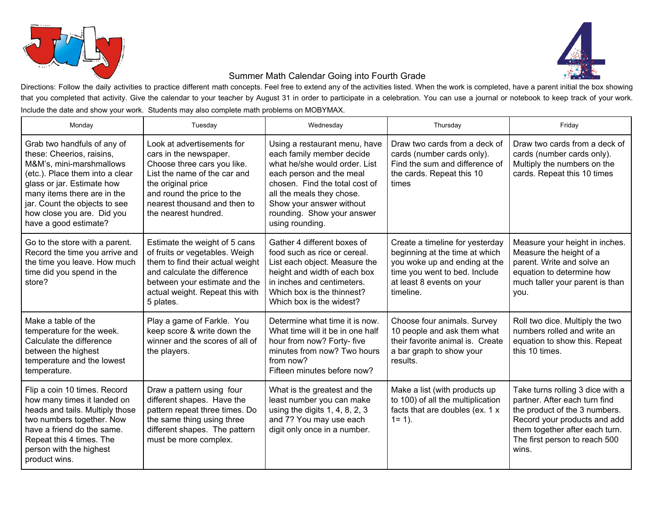



## Summer Math Calendar Going into Fourth Grade

Directions: Follow the daily activities to practice different math concepts. Feel free to extend any of the activities listed. When the work is completed, have a parent initial the box showing that you completed that activity. Give the calendar to your teacher by August 31 in order to participate in a celebration. You can use a journal or notebook to keep track of your work. Include the date and show your work. Students may also complete math problems on MOBYMAX.

| Monday                                                                                                                                                                                                                                                                       | Tuesday                                                                                                                                                                                                                         | Wednesday                                                                                                                                                                                                                                                           | Thursday                                                                                                                                                                      | Friday                                                                                                                                                                                                         |
|------------------------------------------------------------------------------------------------------------------------------------------------------------------------------------------------------------------------------------------------------------------------------|---------------------------------------------------------------------------------------------------------------------------------------------------------------------------------------------------------------------------------|---------------------------------------------------------------------------------------------------------------------------------------------------------------------------------------------------------------------------------------------------------------------|-------------------------------------------------------------------------------------------------------------------------------------------------------------------------------|----------------------------------------------------------------------------------------------------------------------------------------------------------------------------------------------------------------|
| Grab two handfuls of any of<br>these: Cheerios, raisins,<br>M&M's, mini-marshmallows<br>(etc.). Place them into a clear<br>glass or jar. Estimate how<br>many items there are in the<br>jar. Count the objects to see<br>how close you are. Did you<br>have a good estimate? | Look at advertisements for<br>cars in the newspaper.<br>Choose three cars you like.<br>List the name of the car and<br>the original price<br>and round the price to the<br>nearest thousand and then to<br>the nearest hundred. | Using a restaurant menu, have<br>each family member decide<br>what he/she would order. List<br>each person and the meal<br>chosen. Find the total cost of<br>all the meals they chose.<br>Show your answer without<br>rounding. Show your answer<br>using rounding. | Draw two cards from a deck of<br>cards (number cards only).<br>Find the sum and difference of<br>the cards. Repeat this 10<br>times                                           | Draw two cards from a deck of<br>cards (number cards only).<br>Multiply the numbers on the<br>cards. Repeat this 10 times                                                                                      |
| Go to the store with a parent.<br>Record the time you arrive and<br>the time you leave. How much<br>time did you spend in the<br>store?                                                                                                                                      | Estimate the weight of 5 cans<br>of fruits or vegetables. Weigh<br>them to find their actual weight<br>and calculate the difference<br>between your estimate and the<br>actual weight. Repeat this with<br>5 plates.            | Gather 4 different boxes of<br>food such as rice or cereal.<br>List each object. Measure the<br>height and width of each box<br>in inches and centimeters.<br>Which box is the thinnest?<br>Which box is the widest?                                                | Create a timeline for yesterday<br>beginning at the time at which<br>you woke up and ending at the<br>time you went to bed. Include<br>at least 8 events on your<br>timeline. | Measure your height in inches.<br>Measure the height of a<br>parent. Write and solve an<br>equation to determine how<br>much taller your parent is than<br>you.                                                |
| Make a table of the<br>temperature for the week.<br>Calculate the difference<br>between the highest<br>temperature and the lowest<br>temperature.                                                                                                                            | Play a game of Farkle. You<br>keep score & write down the<br>winner and the scores of all of<br>the players.                                                                                                                    | Determine what time it is now.<br>What time will it be in one half<br>hour from now? Forty- five<br>minutes from now? Two hours<br>from now?<br>Fifteen minutes before now?                                                                                         | Choose four animals. Survey<br>10 people and ask them what<br>their favorite animal is. Create<br>a bar graph to show your<br>results.                                        | Roll two dice. Multiply the two<br>numbers rolled and write an<br>equation to show this. Repeat<br>this 10 times.                                                                                              |
| Flip a coin 10 times. Record<br>how many times it landed on<br>heads and tails. Multiply those<br>two numbers together. Now<br>have a friend do the same.<br>Repeat this 4 times. The<br>person with the highest<br>product wins.                                            | Draw a pattern using four<br>different shapes. Have the<br>pattern repeat three times. Do<br>the same thing using three<br>different shapes. The pattern<br>must be more complex.                                               | What is the greatest and the<br>least number you can make<br>using the digits $1, 4, 8, 2, 3$<br>and 7? You may use each<br>digit only once in a number.                                                                                                            | Make a list (with products up<br>to 100) of all the multiplication<br>facts that are doubles (ex. 1 x<br>$1 = 1$ ).                                                           | Take turns rolling 3 dice with a<br>partner. After each turn find<br>the product of the 3 numbers.<br>Record your products and add<br>them together after each turn.<br>The first person to reach 500<br>wins. |